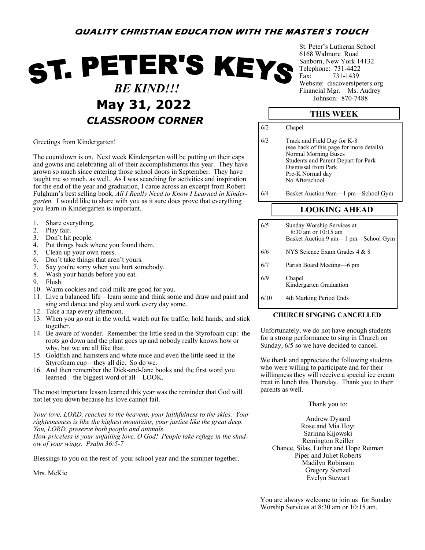# **QUALITY CHRISTIAN EDUCATION WITH THE MASTER'S TOUCH**

# ST. PETER'S KEYS  *BE KIND!!!* **May 31, 2022** *Johnson: 870-7488 CLASSROOM CORNER*

Greetings from Kindergarten!

The countdown is on. Next week Kindergarten will be putting on their caps and gowns and celebrating all of their accomplishments this year. They have grown so much since entering those school doors in September. They have taught me so much, as well. As I was searching for activities and inspiration for the end of the year and graduation, I came across an excerpt from Robert Fulghum's best selling book, *All I Really Need to Know I Learned in Kindergarten.* I would like to share with you as it sure does prove that everything you learn in Kindergarten is important.

- 1. Share everything.
- 2. Play fair.
- 3. Don't hit people.
- 4. Put things back where you found them.
- 5. Clean up your own mess.
- 6. Don't take things that aren't yours.
- 7. Say you're sorry when you hurt somebody.<br>8. Wash your hands before you eat.
- Wash your hands before you eat.
- 9. Flush.
- 10. Warm cookies and cold milk are good for you.
- 11. Live a balanced life—learn some and think some and draw and paint and sing and dance and play and work every day some.
- 12. Take a nap every afternoon.
- 13. When you go out in the world, watch out for traffic, hold hands, and stick together.
- 14. Be aware of wonder. Remember the little seed in the Styrofoam cup: the roots go down and the plant goes up and nobody really knows how or why, but we are all like that.
- 15. Goldfish and hamsters and white mice and even the little seed in the Styrofoam cup—they all die. So do we.
- 16. And then remember the Dick-and-Jane books and the first word you learned—the biggest word of all—LOOK.

The most important lesson learned this year was the reminder that God will not let you down because his love cannot fail.

*Your love, LORD, reaches to the heavens, your faithfulness to the skies. Your righteousness is like the highest mountains, your justice like the great deep. You, LORD, preserve both people and animals.*

*How priceless is your unfailing love, O God! People take refuge in the shadow of your wings. Psalm 36:5-7*

Blessings to you on the rest of your school year and the summer together.

Mrs. McKie

St. Peter's Lutheran School 6168 Walmore Road Sanborn, New York 14132 Telephone: 731-4422 Fax: 731-1439 Website: discoverstpeters.org Financial Mgr.—Ms. Audrey

### **THIS WEEK**

6/2 Chapel 6/3 Track and Field Day for K-8 (see back of this page for more details) Normal Morning Buses Students and Parent Depart for Park Dismissal from Park Pre-K Normal day No Afterschool

6/4 Basket Auction 9am—1 pm—School Gym

# **LOOKING AHEAD**

| 6/5  | Sunday Worship Services at<br>$8:30$ am or $10:15$ am<br>Basket Auction 9 am—1 pm—School Gym |
|------|----------------------------------------------------------------------------------------------|
| 6/6  | NYS Science Exam Grades 4 & 8                                                                |
| 6/7  | Parish Board Meeting-6 pm                                                                    |
| 6/9  | Chapel<br>Kindergarten Graduation                                                            |
| 6/10 | 4th Marking Period Ends                                                                      |

#### **CHURCH SINGING CANCELLED**

Unfortunately, we do not have enough students for a strong performance to sing in Church on Sunday, 6/5 so we have decided to cancel.

We thank and appreciate the following students who were willing to participate and for their willingness they will receive a special ice cream treat in lunch this Thursday. Thank you to their parents as well.

Thank you to:

Andrew Dysard Rose and Mia Hoyt Sarinna Kijowski Remington Reiller Chance, Silas, Luther and Hope Reiman Piper and Juliet Roberts Madilyn Robinson Gregory Stenzel Evelyn Stewart

You are always welcome to join us for Sunday Worship Services at 8:30 am or 10:15 am.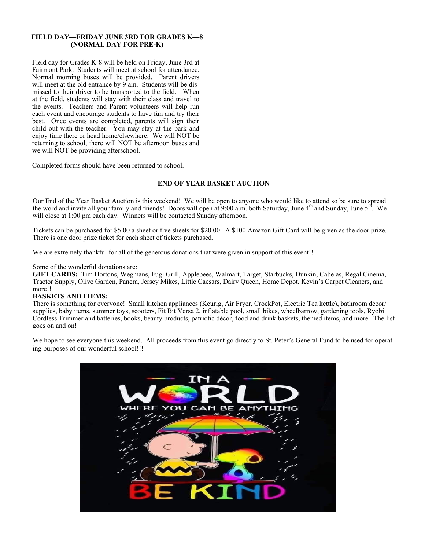#### **FIELD DAY—FRIDAY JUNE 3RD FOR GRADES K—8 (NORMAL DAY FOR PRE-K)**

Field day for Grades K-8 will be held on Friday, June 3rd at Fairmont Park. Students will meet at school for attendance. Normal morning buses will be provided. Parent drivers will meet at the old entrance by  $9$  am. Students will be dismissed to their driver to be transported to the field. When at the field, students will stay with their class and travel to the events. Teachers and Parent volunteers will help run each event and encourage students to have fun and try their best. Once events are completed, parents will sign their child out with the teacher. You may stay at the park and enjoy time there or head home/elsewhere. We will NOT be returning to school, there will NOT be afternoon buses and we will NOT be providing afterschool.

Completed forms should have been returned to school.

#### **END OF YEAR BASKET AUCTION**

Our End of the Year Basket Auction is this weekend! We will be open to anyone who would like to attend so be sure to spread the word and invite all your family and friends! Doors will open at  $9:00$  a.m. both Saturday, June  $4<sup>th</sup>$  and Sunday, June  $5<sup>th</sup>$ . We will close at 1:00 pm each day. Winners will be contacted Sunday afternoon.

Tickets can be purchased for \$5.00 a sheet or five sheets for \$20.00. A \$100 Amazon Gift Card will be given as the door prize. There is one door prize ticket for each sheet of tickets purchased.

We are extremely thankful for all of the generous donations that were given in support of this event!!

#### Some of the wonderful donations are:

**GIFT CARDS:** Tim Hortons, Wegmans, Fugi Grill, Applebees, Walmart, Target, Starbucks, Dunkin, Cabelas, Regal Cinema, Tractor Supply, Olive Garden, Panera, Jersey Mikes, Little Caesars, Dairy Queen, Home Depot, Kevin's Carpet Cleaners, and more!!

#### **BASKETS AND ITEMS:**

There is something for everyone! Small kitchen appliances (Keurig, Air Fryer, CrockPot, Electric Tea kettle), bathroom décor/ supplies, baby items, summer toys, scooters, Fit Bit Versa 2, inflatable pool, small bikes, wheelbarrow, gardening tools, Ryobi Cordless Trimmer and batteries, books, beauty products, patriotic décor, food and drink baskets, themed items, and more. The list goes on and on!

We hope to see everyone this weekend. All proceeds from this event go directly to St. Peter's General Fund to be used for operating purposes of our wonderful school!!!